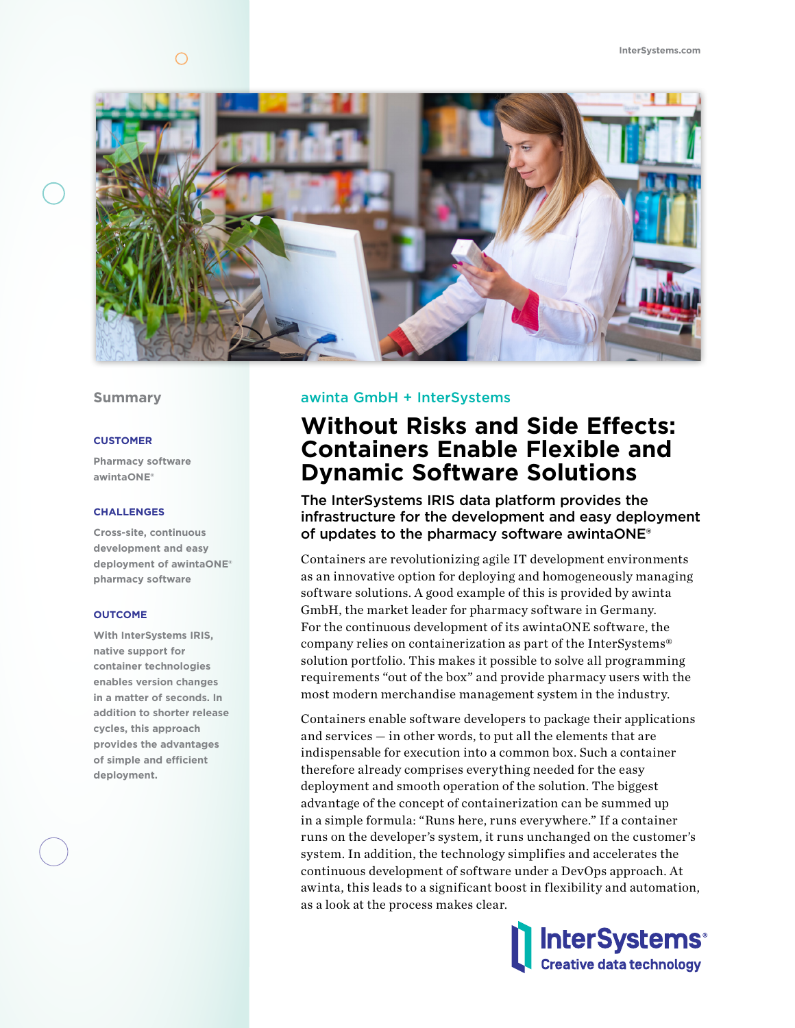

## **Summary**

#### **CUSTOMER**

**Pharmacy software awintaONE®**

#### **CHALLENGES**

**Cross-site, continuous development and easy deployment of awintaONE® pharmacy software**

### **OUTCOME**

**With InterSystems IRIS, native support for container technologies enables version changes in a matter of seconds. In addition to shorter release cycles, this approach provides the advantages of simple and efficient deployment.**

### awinta GmbH + InterSystems

# **Without Risks and Side Effects: Containers Enable Flexible and Dynamic Software Solutions**

The InterSystems IRIS data platform provides the infrastructure for the development and easy deployment of updates to the pharmacy software awintaONE®

Containers are revolutionizing agile IT development environments as an innovative option for deploying and homogeneously managing software solutions. A good example of this is provided by awinta GmbH, the market leader for pharmacy software in Germany. For the continuous development of its awintaONE software, the company relies on containerization as part of the InterSystems® solution portfolio. This makes it possible to solve all programming requirements "out of the box" and provide pharmacy users with the most modern merchandise management system in the industry.

Containers enable software developers to package their applications and services — in other words, to put all the elements that are indispensable for execution into a common box. Such a container therefore already comprises everything needed for the easy deployment and smooth operation of the solution. The biggest advantage of the concept of containerization can be summed up in a simple formula: "Runs here, runs everywhere." If a container runs on the developer's system, it runs unchanged on the customer's system. In addition, the technology simplifies and accelerates the continuous development of software under a DevOps approach. At awinta, this leads to a significant boost in flexibility and automation, as a look at the process makes clear.

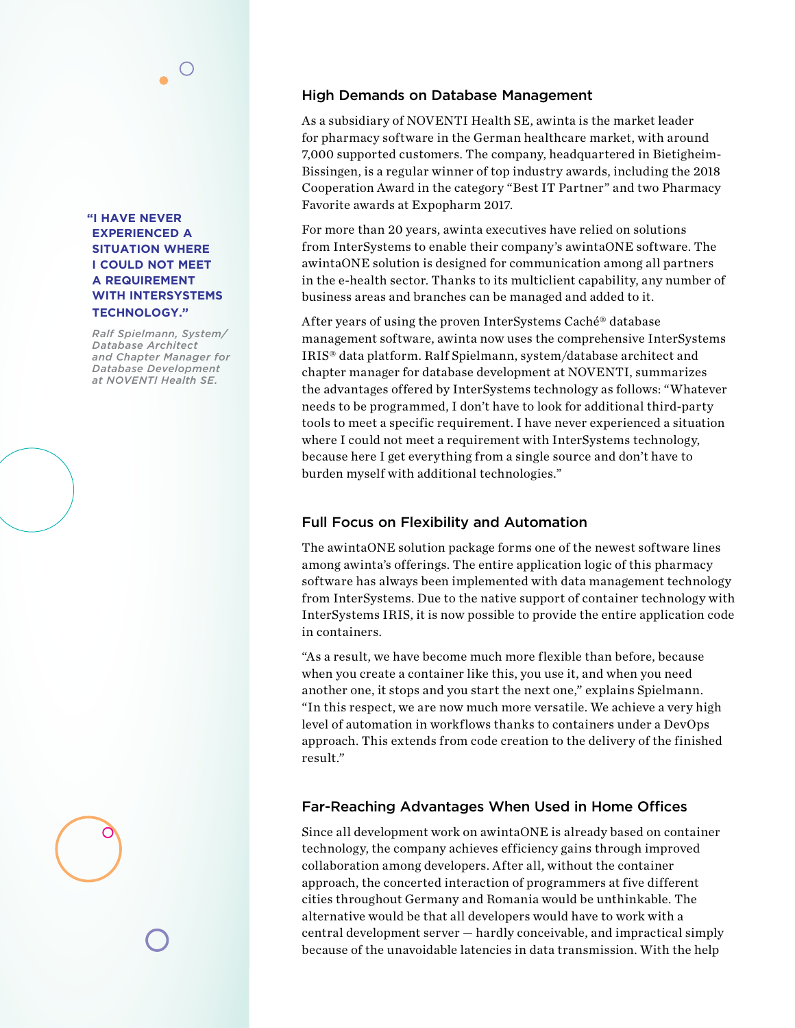**"I HAVE NEVER EXPERIENCED A SITUATION WHERE I COULD NOT MEET A REQUIREMENT WITH INTERSYSTEMS TECHNOLOGY."** 

*Ralf Spielmann, System/ Database Architect and Chapter Manager for Database Development at NOVENTI Health SE.* 

# High Demands on Database Management

As a subsidiary of NOVENTI Health SE, awinta is the market leader for pharmacy software in the German healthcare market, with around 7,000 supported customers. The company, headquartered in Bietigheim-Bissingen, is a regular winner of top industry awards, including the 2018 Cooperation Award in the category "Best IT Partner" and two Pharmacy Favorite awards at Expopharm 2017.

For more than 20 years, awinta executives have relied on solutions from InterSystems to enable their company's awintaONE software. The awintaONE solution is designed for communication among all partners in the e-health sector. Thanks to its multiclient capability, any number of business areas and branches can be managed and added to it.

After years of using the proven InterSystems Caché® database management software, awinta now uses the comprehensive InterSystems IRIS® data platform. Ralf Spielmann, system/database architect and chapter manager for database development at NOVENTI, summarizes the advantages offered by InterSystems technology as follows: "Whatever needs to be programmed, I don't have to look for additional third-party tools to meet a specific requirement. I have never experienced a situation where I could not meet a requirement with InterSystems technology, because here I get everything from a single source and don't have to burden myself with additional technologies."

# Full Focus on Flexibility and Automation

The awintaONE solution package forms one of the newest software lines among awinta's offerings. The entire application logic of this pharmacy software has always been implemented with data management technology from InterSystems. Due to the native support of container technology with InterSystems IRIS, it is now possible to provide the entire application code in containers.

"As a result, we have become much more flexible than before, because when you create a container like this, you use it, and when you need another one, it stops and you start the next one," explains Spielmann. "In this respect, we are now much more versatile. We achieve a very high level of automation in workflows thanks to containers under a DevOps approach. This extends from code creation to the delivery of the finished result."

# Far-Reaching Advantages When Used in Home Offices

Since all development work on awintaONE is already based on container technology, the company achieves efficiency gains through improved collaboration among developers. After all, without the container approach, the concerted interaction of programmers at five different cities throughout Germany and Romania would be unthinkable. The alternative would be that all developers would have to work with a central development server — hardly conceivable, and impractical simply because of the unavoidable latencies in data transmission. With the help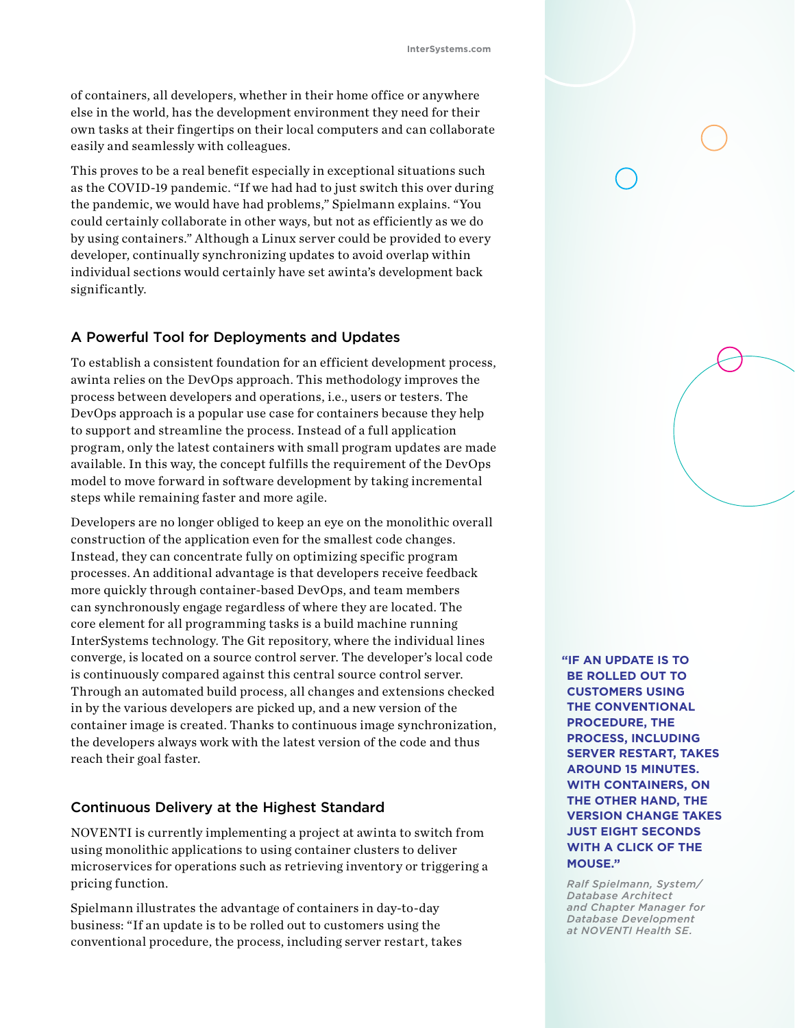of containers, all developers, whether in their home office or anywhere else in the world, has the development environment they need for their own tasks at their fingertips on their local computers and can collaborate easily and seamlessly with colleagues.

This proves to be a real benefit especially in exceptional situations such as the COVID-19 pandemic. "If we had had to just switch this over during the pandemic, we would have had problems," Spielmann explains. "You could certainly collaborate in other ways, but not as efficiently as we do by using containers." Although a Linux server could be provided to every developer, continually synchronizing updates to avoid overlap within individual sections would certainly have set awinta's development back significantly.

## A Powerful Tool for Deployments and Updates

To establish a consistent foundation for an efficient development process, awinta relies on the DevOps approach. This methodology improves the process between developers and operations, i.e., users or testers. The DevOps approach is a popular use case for containers because they help to support and streamline the process. Instead of a full application program, only the latest containers with small program updates are made available. In this way, the concept fulfills the requirement of the DevOps model to move forward in software development by taking incremental steps while remaining faster and more agile.

Developers are no longer obliged to keep an eye on the monolithic overall construction of the application even for the smallest code changes. Instead, they can concentrate fully on optimizing specific program processes. An additional advantage is that developers receive feedback more quickly through container-based DevOps, and team members can synchronously engage regardless of where they are located. The core element for all programming tasks is a build machine running InterSystems technology. The Git repository, where the individual lines converge, is located on a source control server. The developer's local code is continuously compared against this central source control server. Through an automated build process, all changes and extensions checked in by the various developers are picked up, and a new version of the container image is created. Thanks to continuous image synchronization, the developers always work with the latest version of the code and thus reach their goal faster.

## Continuous Delivery at the Highest Standard

NOVENTI is currently implementing a project at awinta to switch from using monolithic applications to using container clusters to deliver microservices for operations such as retrieving inventory or triggering a pricing function.

Spielmann illustrates the advantage of containers in day-to-day business: "If an update is to be rolled out to customers using the conventional procedure, the process, including server restart, takes **"IF AN UPDATE IS TO BE ROLLED OUT TO CUSTOMERS USING THE CONVENTIONAL PROCEDURE, THE PROCESS, INCLUDING SERVER RESTART, TAKES AROUND 15 MINUTES. WITH CONTAINERS, ON THE OTHER HAND, THE VERSION CHANGE TAKES JUST EIGHT SECONDS WITH A CLICK OF THE MOUSE."**

*Ralf Spielmann, System/ Database Architect and Chapter Manager for Database Development at NOVENTI Health SE.*